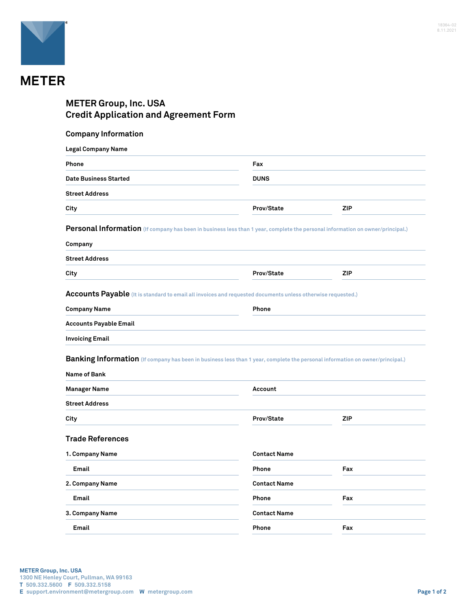

## **METER Group, Inc. USA Credit Application and Agreement Form**

| <b>Company Information</b> |  |
|----------------------------|--|
|----------------------------|--|

| Phone                                                                                                                                                                                                                                                    | Fax<br><b>DUNS</b>           |            |
|----------------------------------------------------------------------------------------------------------------------------------------------------------------------------------------------------------------------------------------------------------|------------------------------|------------|
| <b>Date Business Started</b>                                                                                                                                                                                                                             |                              |            |
| <b>Street Address</b>                                                                                                                                                                                                                                    |                              |            |
| City                                                                                                                                                                                                                                                     | Prov/State                   | <b>ZIP</b> |
| Personal Information (If company has been in business less than 1 year, complete the personal information on owner/principal.)                                                                                                                           |                              |            |
| Company                                                                                                                                                                                                                                                  |                              |            |
| <b>Street Address</b>                                                                                                                                                                                                                                    |                              |            |
| City                                                                                                                                                                                                                                                     | Prov/State                   | <b>ZIP</b> |
| Accounts Payable (It is standard to email all invoices and requested documents unless otherwise requested.)                                                                                                                                              |                              |            |
| <b>Company Name</b>                                                                                                                                                                                                                                      | Phone                        |            |
|                                                                                                                                                                                                                                                          |                              |            |
|                                                                                                                                                                                                                                                          |                              |            |
|                                                                                                                                                                                                                                                          |                              |            |
|                                                                                                                                                                                                                                                          |                              |            |
|                                                                                                                                                                                                                                                          |                              |            |
|                                                                                                                                                                                                                                                          |                              |            |
|                                                                                                                                                                                                                                                          | Account                      |            |
| <b>Accounts Payable Email</b><br><b>Invoicing Email</b><br>Banking Information (If company has been in business less than 1 year, complete the personal information on owner/principal.)<br>Name of Bank<br><b>Manager Name</b><br><b>Street Address</b> |                              |            |
|                                                                                                                                                                                                                                                          | Prov/State                   | <b>ZIP</b> |
| City                                                                                                                                                                                                                                                     |                              |            |
|                                                                                                                                                                                                                                                          |                              |            |
|                                                                                                                                                                                                                                                          | <b>Contact Name</b>          |            |
| Email                                                                                                                                                                                                                                                    | Phone<br><b>Contact Name</b> | Fax        |
| Email                                                                                                                                                                                                                                                    | Phone                        | Fax        |
| <b>Trade References</b><br>1. Company Name<br>2. Company Name<br>3. Company Name                                                                                                                                                                         | <b>Contact Name</b>          |            |